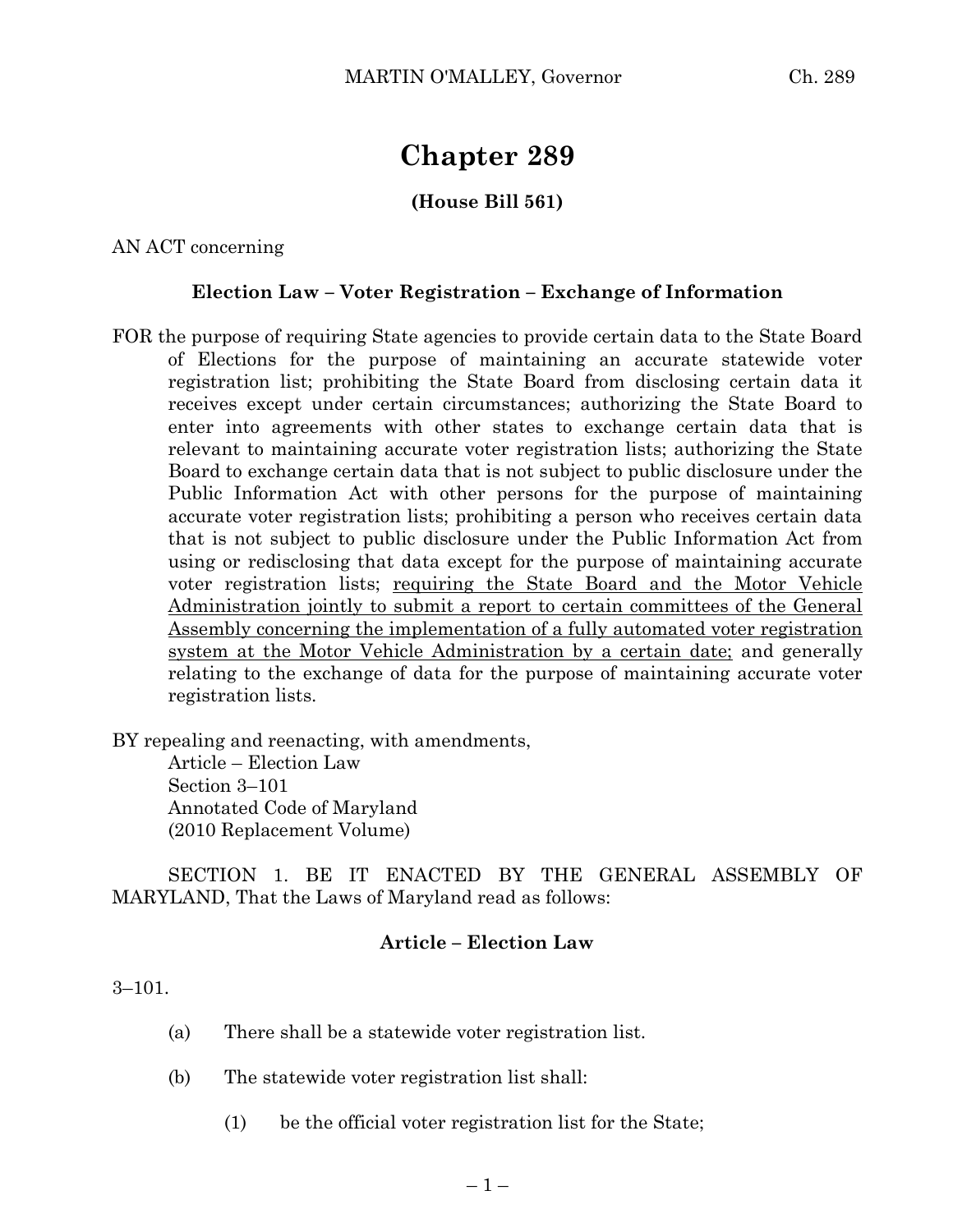# **Chapter 289**

## **(House Bill 561)**

AN ACT concerning

#### **Election Law – Voter Registration – Exchange of Information**

FOR the purpose of requiring State agencies to provide certain data to the State Board of Elections for the purpose of maintaining an accurate statewide voter registration list; prohibiting the State Board from disclosing certain data it receives except under certain circumstances; authorizing the State Board to enter into agreements with other states to exchange certain data that is relevant to maintaining accurate voter registration lists; authorizing the State Board to exchange certain data that is not subject to public disclosure under the Public Information Act with other persons for the purpose of maintaining accurate voter registration lists; prohibiting a person who receives certain data that is not subject to public disclosure under the Public Information Act from using or redisclosing that data except for the purpose of maintaining accurate voter registration lists; requiring the State Board and the Motor Vehicle Administration jointly to submit a report to certain committees of the General Assembly concerning the implementation of a fully automated voter registration system at the Motor Vehicle Administration by a certain date; and generally relating to the exchange of data for the purpose of maintaining accurate voter registration lists.

BY repealing and reenacting, with amendments,

Article – Election Law Section 3–101 Annotated Code of Maryland (2010 Replacement Volume)

SECTION 1. BE IT ENACTED BY THE GENERAL ASSEMBLY OF MARYLAND, That the Laws of Maryland read as follows:

### **Article – Election Law**

#### 3–101.

- (a) There shall be a statewide voter registration list.
- (b) The statewide voter registration list shall:
	- (1) be the official voter registration list for the State;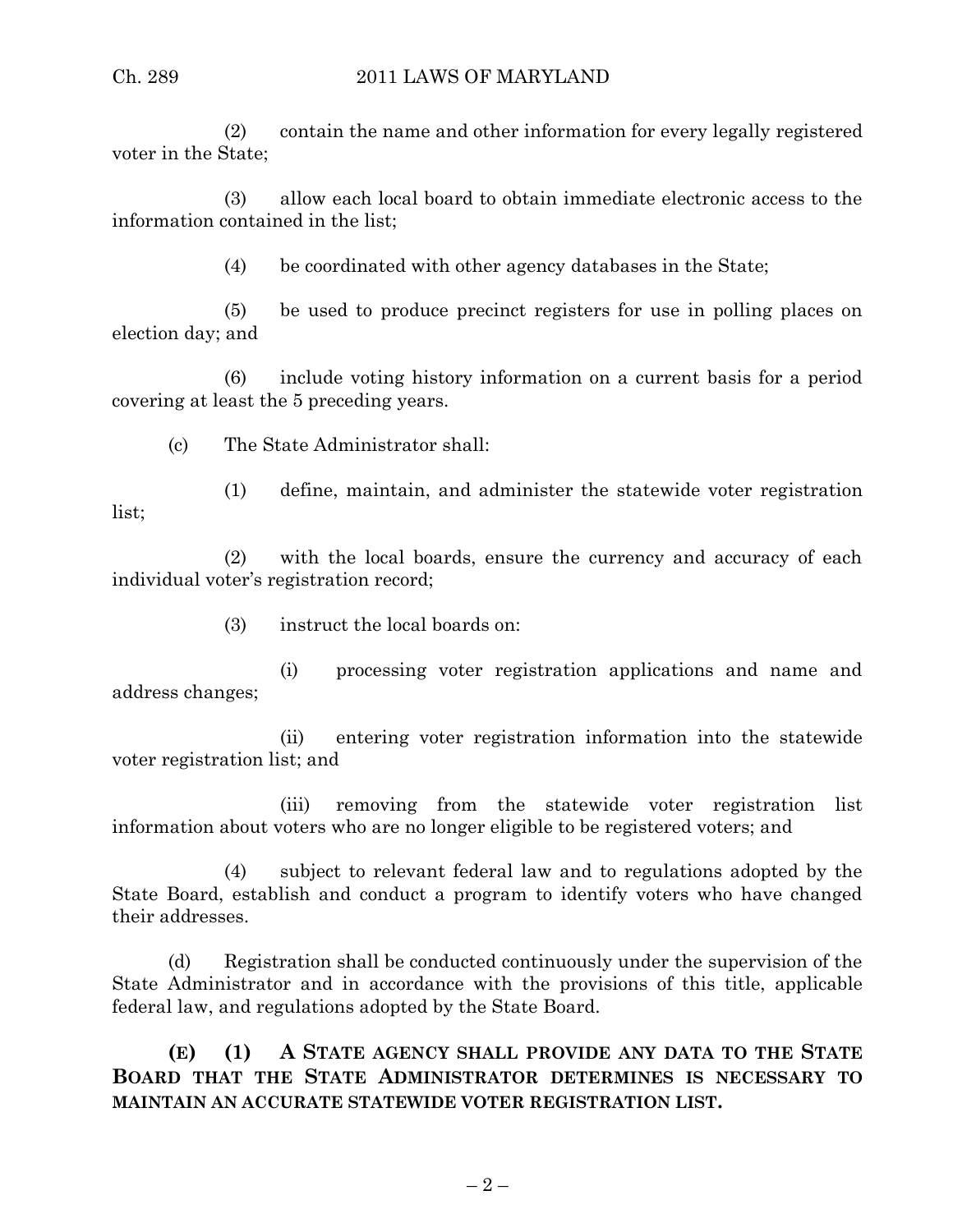(2) contain the name and other information for every legally registered voter in the State;

(3) allow each local board to obtain immediate electronic access to the information contained in the list;

(4) be coordinated with other agency databases in the State;

(5) be used to produce precinct registers for use in polling places on election day; and

(6) include voting history information on a current basis for a period covering at least the 5 preceding years.

(c) The State Administrator shall:

(1) define, maintain, and administer the statewide voter registration list;

(2) with the local boards, ensure the currency and accuracy of each individual voter's registration record;

(3) instruct the local boards on:

(i) processing voter registration applications and name and address changes;

(ii) entering voter registration information into the statewide voter registration list; and

(iii) removing from the statewide voter registration list information about voters who are no longer eligible to be registered voters; and

(4) subject to relevant federal law and to regulations adopted by the State Board, establish and conduct a program to identify voters who have changed their addresses.

(d) Registration shall be conducted continuously under the supervision of the State Administrator and in accordance with the provisions of this title, applicable federal law, and regulations adopted by the State Board.

**(E) (1) A STATE AGENCY SHALL PROVIDE ANY DATA TO THE STATE BOARD THAT THE STATE ADMINISTRATOR DETERMINES IS NECESSARY TO MAINTAIN AN ACCURATE STATEWIDE VOTER REGISTRATION LIST.**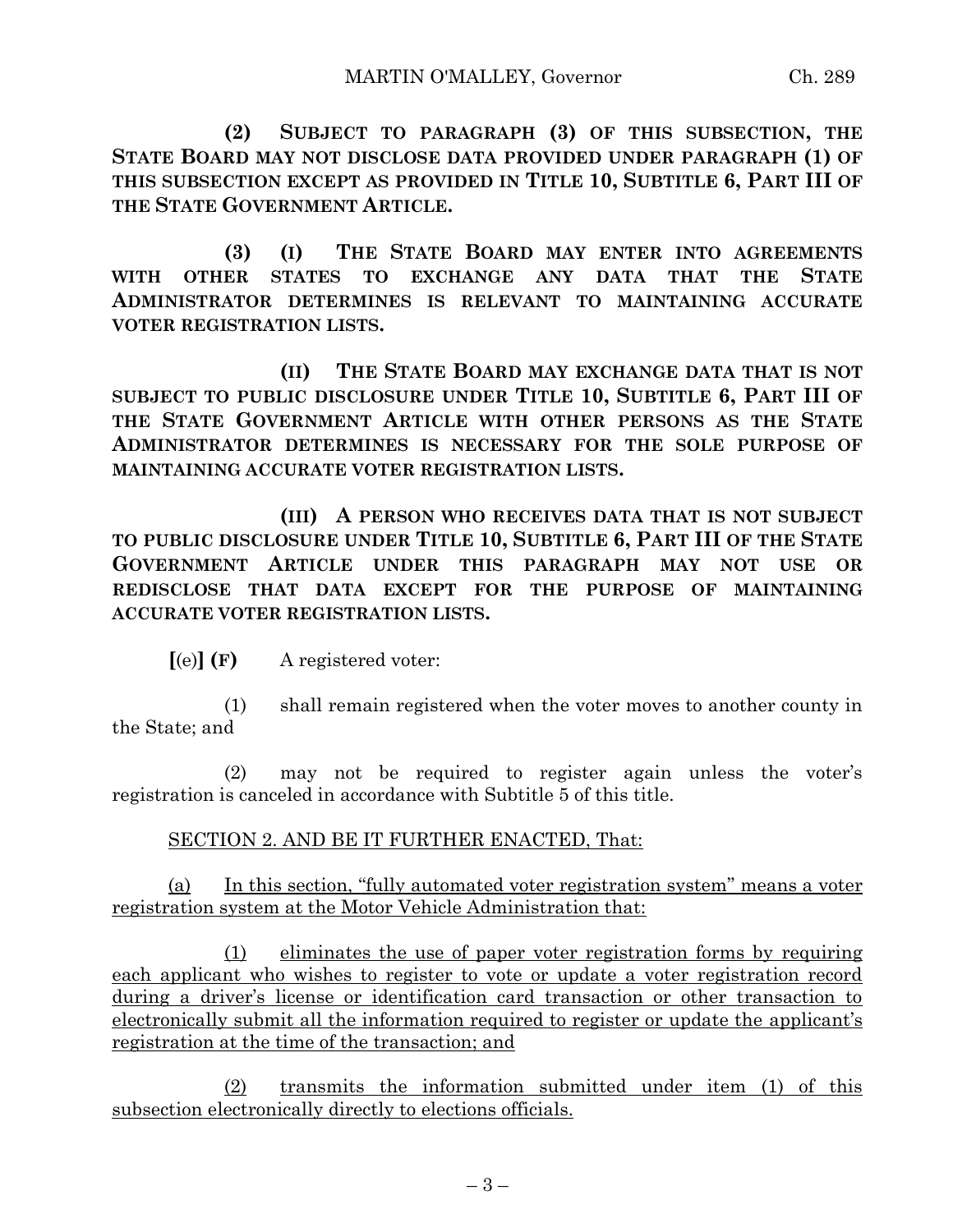**(2) SUBJECT TO PARAGRAPH (3) OF THIS SUBSECTION, THE STATE BOARD MAY NOT DISCLOSE DATA PROVIDED UNDER PARAGRAPH (1) OF THIS SUBSECTION EXCEPT AS PROVIDED IN TITLE 10, SUBTITLE 6, PART III OF THE STATE GOVERNMENT ARTICLE.**

**(3) (I) THE STATE BOARD MAY ENTER INTO AGREEMENTS WITH OTHER STATES TO EXCHANGE ANY DATA THAT THE STATE ADMINISTRATOR DETERMINES IS RELEVANT TO MAINTAINING ACCURATE VOTER REGISTRATION LISTS.**

**(II) THE STATE BOARD MAY EXCHANGE DATA THAT IS NOT SUBJECT TO PUBLIC DISCLOSURE UNDER TITLE 10, SUBTITLE 6, PART III OF THE STATE GOVERNMENT ARTICLE WITH OTHER PERSONS AS THE STATE ADMINISTRATOR DETERMINES IS NECESSARY FOR THE SOLE PURPOSE OF MAINTAINING ACCURATE VOTER REGISTRATION LISTS.**

**(III) A PERSON WHO RECEIVES DATA THAT IS NOT SUBJECT TO PUBLIC DISCLOSURE UNDER TITLE 10, SUBTITLE 6, PART III OF THE STATE GOVERNMENT ARTICLE UNDER THIS PARAGRAPH MAY NOT USE OR REDISCLOSE THAT DATA EXCEPT FOR THE PURPOSE OF MAINTAINING ACCURATE VOTER REGISTRATION LISTS.**

**[**(e)**] (F)** A registered voter:

(1) shall remain registered when the voter moves to another county in the State; and

(2) may not be required to register again unless the voter's registration is canceled in accordance with Subtitle 5 of this title.

# SECTION 2. AND BE IT FURTHER ENACTED, That:

(a) In this section, "fully automated voter registration system" means a voter registration system at the Motor Vehicle Administration that:

(1) eliminates the use of paper voter registration forms by requiring each applicant who wishes to register to vote or update a voter registration record during a driver's license or identification card transaction or other transaction to electronically submit all the information required to register or update the applicant's registration at the time of the transaction; and

(2) transmits the information submitted under item (1) of this subsection electronically directly to elections officials.